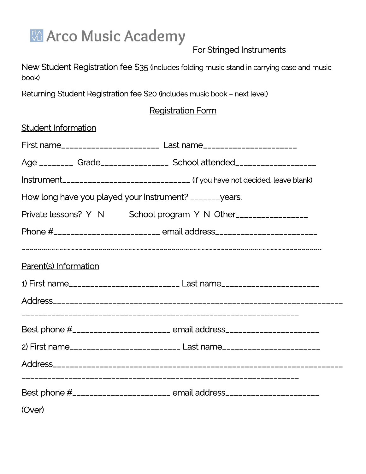

For Stringed Instruments

New Student Registration fee \$35 (includes folding music stand in carrying case and music book)

Returning Student Registration fee \$20 (includes music book – next level)

## Registration Form

| <b>Student Information</b> |                                                                                    |
|----------------------------|------------------------------------------------------------------------------------|
|                            | First name_______________________ Last name_______________________                 |
|                            | Age ________ Grade_______________ School attended__________________                |
|                            | Instrument_________________________________ (if you have not decided, leave blank) |
|                            | How long have you played your instrument? _______years.                            |
|                            | Private lessons? Y N School program Y N Other_______________                       |
|                            | Phone #___________________________ email address________________________________   |
|                            |                                                                                    |
| Parent(s) Information      |                                                                                    |
|                            | 1) First name___________________________ Last name_____________________________    |
|                            |                                                                                    |
|                            |                                                                                    |
|                            | Best phone #_______________________ email address_______________________________   |
|                            | 2) First name__________________________ Last name_______________________________   |
|                            |                                                                                    |
|                            |                                                                                    |
|                            | Best phone #_______________________ email address_______________________________   |
| (Over)                     |                                                                                    |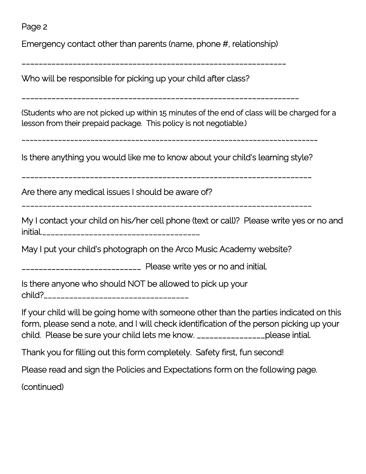Page 2

Emergency contact other than parents (name, phone #, relationship)

\_\_\_\_\_\_\_\_\_\_\_\_\_\_\_\_\_\_\_\_\_\_\_\_\_\_\_\_\_\_\_\_\_\_\_\_\_\_\_\_\_\_\_\_\_\_\_\_\_\_\_\_\_\_\_\_\_\_\_\_\_\_

Who will be responsible for picking up your child after class?

\_\_\_\_\_\_\_\_\_\_\_\_\_\_\_\_\_\_\_\_\_\_\_\_\_\_\_\_\_\_\_\_\_\_\_\_\_\_\_\_\_\_\_\_\_\_\_\_\_\_\_\_\_\_\_\_\_\_\_\_\_\_\_\_\_

(Students who are not picked up within 15 minutes of the end of class will be charged for a lesson from their prepaid package. This policy is not negotiable.)

~~~~~~~~~~~~~~~~~~~~~~~~~~~~~~~~~~~~~~~~~~~~~~~~~~~~~~~~~~~~~~~~~~~~~~~~~

Is there anything you would like me to know about your child's learning style?

\_\_\_\_\_\_\_\_\_\_\_\_\_\_\_\_\_\_\_\_\_\_\_\_\_\_\_\_\_\_\_\_\_\_\_\_\_\_\_\_\_\_\_\_\_\_\_\_\_\_\_\_\_\_\_\_\_\_\_\_\_\_\_\_\_\_\_\_

Are there any medical issues I should be aware of?

\_\_\_\_\_\_\_\_\_\_\_\_\_\_\_\_\_\_\_\_\_\_\_\_\_\_\_\_\_\_\_\_\_\_\_\_\_\_\_\_\_\_\_\_\_\_\_\_\_\_\_\_\_\_\_\_\_\_\_\_\_\_\_\_\_\_\_\_

My I contact your child on his/her cell phone (text or call)? Please write yes or no and initial.\_\_\_\_\_\_\_\_\_\_\_\_\_\_\_\_\_\_\_\_\_\_\_\_\_\_\_\_\_\_\_\_\_\_\_\_\_

May I put your child's photograph on the Arco Music Academy website?

\_\_\_\_\_\_\_\_\_\_\_\_\_\_\_\_\_\_\_\_\_\_\_\_\_\_\_\_ Please write yes or no and initial.

Is there anyone who should NOT be allowed to pick up your child?\_\_\_\_\_\_\_\_\_\_\_\_\_\_\_\_\_\_\_\_\_\_\_\_\_\_\_\_\_\_\_\_\_\_

If your child will be going home with someone other than the parties indicated on this form, please send a note, and I will check identification of the person picking up your child. Please be sure your child lets me know. \_\_\_\_\_\_\_\_\_\_\_\_\_\_\_\_please intial.

Thank you for filling out this form completely. Safety first, fun second!

Please read and sign the Policies and Expectations form on the following page.

(continued)